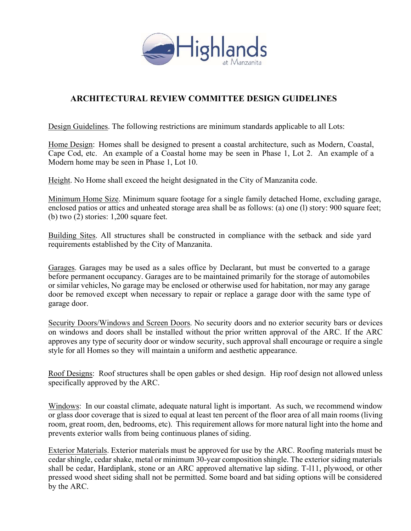

## ARCHITECTURAL REVIEW COMMITTEE DESIGN GUIDELINES

Design Guidelines. The following restrictions are minimum standards applicable to all Lots:

 Home Design: Homes shall be designed to present a coastal architecture, such as Modern, Coastal, Cape Cod, etc. An example of a Coastal home may be seen in Phase 1, Lot 2. An example of a Modern home may be seen in Phase 1, Lot 10.

Height. No Home shall exceed the height designated in the City of Manzanita code.

Minimum Home Size. Minimum square footage for a single family detached Home, excluding garage, enclosed patios or attics and unheated storage area shall be as follows: (a) one (l) story: 900 square feet; (b) two (2) stories: 1,200 square feet.

Building Sites. All structures shall be constructed in compliance with the setback and side yard requirements established by the City of Manzanita.

Garages. Garages may be used as a sales office by Declarant, but must be converted to a garage before permanent occupancy. Garages are to be maintained primarily for the storage of automobiles or similar vehicles, No garage may be enclosed or otherwise used for habitation, nor may any garage door be removed except when necessary to repair or replace a garage door with the same type of garage door.

Security Doors/Windows and Screen Doors. No security doors and no exterior security bars or devices on windows and doors shall be installed without the prior written approval of the ARC. If the ARC approves any type of security door or window security, such approval shall encourage or require a single style for all Homes so they will maintain a uniform and aesthetic appearance.

Roof Designs: Roof structures shall be open gables or shed design. Hip roof design not allowed unless specifically approved by the ARC.

Windows: In our coastal climate, adequate natural light is important. As such, we recommend window or glass door coverage that is sized to equal at least ten percent of the floor area of all main rooms (living room, great room, den, bedrooms, etc). This requirement allows for more natural light into the home and prevents exterior walls from being continuous planes of siding.

Exterior Materials. Exterior materials must be approved for use by the ARC. Roofing materials must be cedar shingle, cedar shake, metal or minimum 30-year composition shingle. The exterior siding materials shall be cedar, Hardiplank, stone or an ARC approved alternative lap siding. T-l11, plywood, or other pressed wood sheet siding shall not be permitted. Some board and bat siding options will be considered by the ARC.